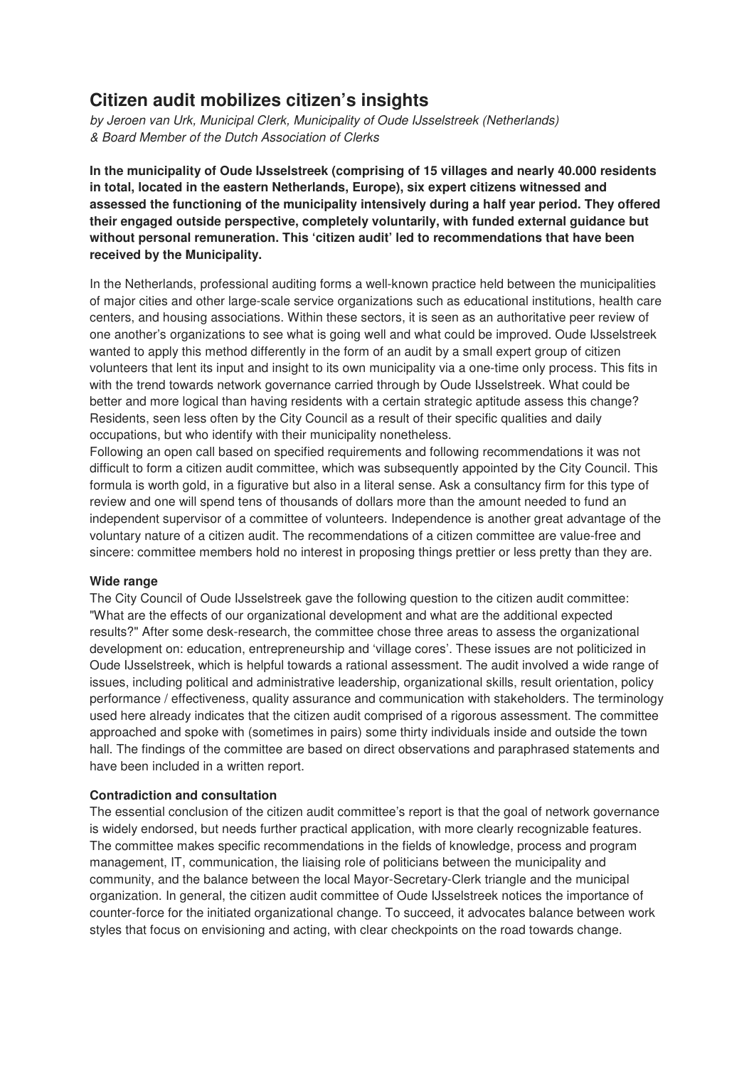## **Citizen audit mobilizes citizen's insights**

by Jeroen van Urk, Municipal Clerk, Municipality of Oude IJsselstreek (Netherlands) & Board Member of the Dutch Association of Clerks

**In the municipality of Oude IJsselstreek (comprising of 15 villages and nearly 40.000 residents in total, located in the eastern Netherlands, Europe), six expert citizens witnessed and assessed the functioning of the municipality intensively during a half year period. They offered their engaged outside perspective, completely voluntarily, with funded external guidance but without personal remuneration. This 'citizen audit' led to recommendations that have been received by the Municipality.**

In the Netherlands, professional auditing forms a well-known practice held between the municipalities of major cities and other large-scale service organizations such as educational institutions, health care centers, and housing associations. Within these sectors, it is seen as an authoritative peer review of one another's organizations to see what is going well and what could be improved. Oude IJsselstreek wanted to apply this method differently in the form of an audit by a small expert group of citizen volunteers that lent its input and insight to its own municipality via a one-time only process. This fits in with the trend towards network governance carried through by Oude IJsselstreek. What could be better and more logical than having residents with a certain strategic aptitude assess this change? Residents, seen less often by the City Council as a result of their specific qualities and daily occupations, but who identify with their municipality nonetheless.

Following an open call based on specified requirements and following recommendations it was not difficult to form a citizen audit committee, which was subsequently appointed by the City Council. This formula is worth gold, in a figurative but also in a literal sense. Ask a consultancy firm for this type of review and one will spend tens of thousands of dollars more than the amount needed to fund an independent supervisor of a committee of volunteers. Independence is another great advantage of the voluntary nature of a citizen audit. The recommendations of a citizen committee are value-free and sincere: committee members hold no interest in proposing things prettier or less pretty than they are.

#### **Wide range**

The City Council of Oude IJsselstreek gave the following question to the citizen audit committee: "What are the effects of our organizational development and what are the additional expected results?" After some desk-research, the committee chose three areas to assess the organizational development on: education, entrepreneurship and 'village cores'. These issues are not politicized in Oude IJsselstreek, which is helpful towards a rational assessment. The audit involved a wide range of issues, including political and administrative leadership, organizational skills, result orientation, policy performance / effectiveness, quality assurance and communication with stakeholders. The terminology used here already indicates that the citizen audit comprised of a rigorous assessment. The committee approached and spoke with (sometimes in pairs) some thirty individuals inside and outside the town hall. The findings of the committee are based on direct observations and paraphrased statements and have been included in a written report.

#### **Contradiction and consultation**

The essential conclusion of the citizen audit committee's report is that the goal of network governance is widely endorsed, but needs further practical application, with more clearly recognizable features. The committee makes specific recommendations in the fields of knowledge, process and program management, IT, communication, the liaising role of politicians between the municipality and community, and the balance between the local Mayor-Secretary-Clerk triangle and the municipal organization. In general, the citizen audit committee of Oude IJsselstreek notices the importance of counter-force for the initiated organizational change. To succeed, it advocates balance between work styles that focus on envisioning and acting, with clear checkpoints on the road towards change.